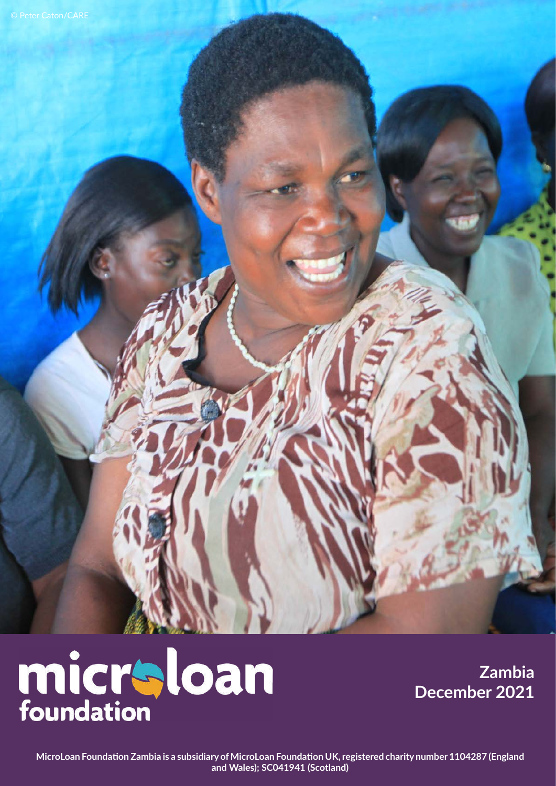# micraloan

**Zambia December 2021**

**MicroLoan Foundation Zambia is a subsidiary of MicroLoan Foundation UK, registered charity number 1104287 (England and Wales); SC041941 (Scotland)**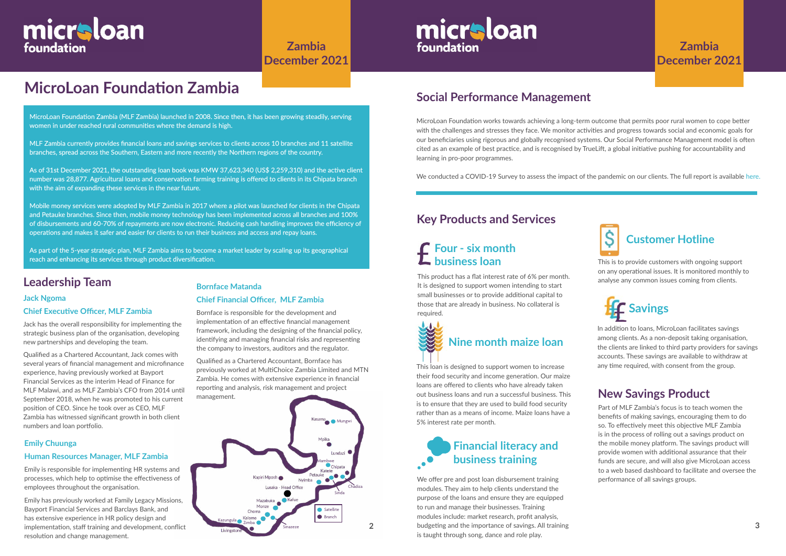# **MicroLoan Foundation Zambia**

#### **Leadership Team**

#### **Jack Ngoma**

#### **Chief Executive Officer, MLF Zambia**

Jack has the overall responsibility for implementing the strategic business plan of the organisation, developing new partnerships and developing the team.

Qualified as a Chartered Accountant, Jack comes with several years of financial management and microfinance experience, having previously worked at Bayport Financial Services as the interim Head of Finance for MLF Malawi, and as MLF Zambia's CFO from 2014 until September 2018, when he was promoted to his current position of CEO. Since he took over as CEO, MLF Zambia has witnessed significant growth in both client numbers and loan portfolio.

MicroLoan Foundation works towards achieving a long-term outcome that permits poor rural women to cope better with the challenges and stresses they face. We monitor activities and progress towards social and economic goals for our beneficiaries using rigorous and globally recognised systems. Our Social Performance Management model is often cited as an example of best practice, and is recognised by TrueLift, a global initiative pushing for accountability and learning in pro-poor programmes.

We conducted a COVID-19 Survey to assess the impact of the pandemic on our clients. The full report is available [her](https://www.microloanfoundation.org.uk/wp-content/uploads/2020/10/COVID-19-analysis_Zambia_FINAL.pdf)e.

# **Social Performance Management**

#### **Bornface Matanda**

#### **Chief Financial Officer, MLF Zambia**

Bornface is responsible for the development and implementation of an effective financial management framework, including the designing of the financial policy, identifying and managing financial risks and representing the company to investors, auditors and the regulator.

Qualified as a Chartered Accountant, Bornface has previously worked at MultiChoice Zambia Limited and MTN Zambia. He comes with extensive experience in financial reporting and analysis, risk management and project management.

> We offer pre and post loan disbursement training modules. They aim to help clients understand the purpose of the loans and ensure they are equipped to run and manage their businesses. Training modules include: market research, profit analysis, budgeting and the importance of savings. All training is taught through song, dance and role play.



# micraloan foundation

**Zambia December 2021**

MicroLoan Foundation Zambia (MLF Zambia) launched in 2008. Since then, it has been growing steadily, serving women in under reached rural communities where the demand is high.

MLF Zambia currently provides financial loans and savings services to clients across 10 branches and 11 satellite branches, spread across the Southern, Eastern and more recently the Northern regions of the country.

> This loan is designed to support women to increase any time required, with consent from the group. their food security and income generation. Our maize loans are offered to clients who have already taken out business loans and run a successful business. This is to ensure that they are used to build food security rather than as a means of income. Maize loans have a 5% interest rate per month.

As of 31st December 2021, the outstanding loan book was KMW 37,623,340 (US\$ 2,259,310) and the active client number was 28,877. Agricultural loans and conservation farming training is offered to clients in its Chipata branch with the aim of expanding these services in the near future.

Mobile money services were adopted by MLF Zambia in 2017 where a pilot was launched for clients in the Chipata and Petauke branches. Since then, mobile money technology has been implemented across all branches and 100% of disbursements and 60-70% of repayments are now electronic. Reducing cash handling improves the efficiency of operations and makes it safer and easier for clients to run their business and access and repay loans.

As part of the 5-year strategic plan, MLF Zambia aims to become a market leader by scaling up its geographical reach and enhancing its services through product diversification.

## **Key Products and Services**

# **Customer Hotline**

This is to provide customers with ongoing support on any operational issues. It is monitored monthly to analyse any common issues coming from clients.

# **Financial literacy and business training**

This product has a flat interest rate of 6% per month. It is designed to support women intending to start small businesses or to provide additional capital to those that are already in business. No collateral is required.

# **Four - six month business loan**



In addition to loans, MicroLoan facilitates savings among clients. As a non-deposit taking organisation, the clients are linked to third party providers for savings accounts. These savings are available to withdraw at



#### **Emily Chuunga**

#### **Human Resources Manager, MLF Zambia**

Emily is responsible for implementing HR systems and processes, which help to optimise the effectiveness of employees throughout the organisation.

Emily has previously worked at Family Legacy Missions, Bayport Financial Services and Barclays Bank, and has extensive experience in HR policy design and implementation, staff training and development, conflict resolution and change management.

# **Zambia December 2021**

Part of MLF Zambia's focus is to teach women the benefits of making savings, encouraging them to do so. To effectively meet this objective MLF Zambia is in the process of rolling out a savings product on the mobile money platform. The savings product will provide women with additional assurance that their funds are secure, and will also give MicroLoan access to a web based dashboard to facilitate and oversee the performance of all savings groups.

# **New Savings Product**